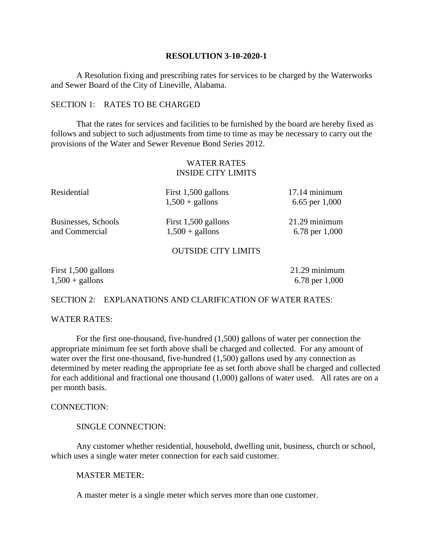#### **RESOLUTION 3-10-2020-1**

A Resolution fixing and prescribing rates for services to be charged by the Waterworks and Sewer Board of the City of Lineville, Alabama.

### SECTION 1: RATES TO BE CHARGED

That the rates for services and facilities to be furnished by the board are hereby fixed as follows and subject to such adjustments from time to time as may be necessary to carry out the provisions of the Water and Sewer Revenue Bond Series 2012.

# WATER RATES INSIDE CITY LIMITS

| Residential         | First 1,500 gallons<br>$1,500 +$ gallons | $17.14$ minimum<br>6.65 per $1,000$ |
|---------------------|------------------------------------------|-------------------------------------|
| Businesses, Schools | First 1,500 gallons                      | $21.29$ minimum                     |
| and Commercial      | $1,500 +$ gallons                        | 6.78 per 1,000                      |
|                     |                                          |                                     |

#### OUTSIDE CITY LIMITS

| First $1,500$ gallons    | $21.29$ minimum  |
|--------------------------|------------------|
| $1,500 + \text{gallons}$ | 6.78 per $1,000$ |

# SECTION 2: EXPLANATIONS AND CLARIFICATION OF WATER RATES:

## WATER RATES:

For the first one-thousand, five-hundred (1,500) gallons of water per connection the appropriate minimum fee set forth above shall be charged and collected. For any amount of water over the first one-thousand, five-hundred (1,500) gallons used by any connection as determined by meter reading the appropriate fee as set forth above shall be charged and collected for each additional and fractional one thousand (1,000) gallons of water used. All rates are on a per month basis.

#### CONNECTION:

#### SINGLE CONNECTION:

Any customer whether residential, household, dwelling unit, business, church or school, which uses a single water meter connection for each said customer.

### MASTER METER:

A master meter is a single meter which serves more than one customer.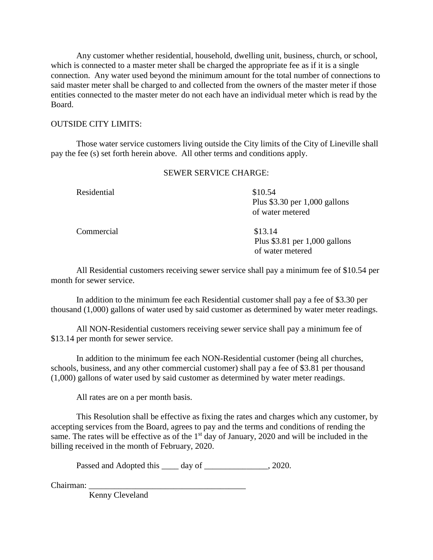Any customer whether residential, household, dwelling unit, business, church, or school, which is connected to a master meter shall be charged the appropriate fee as if it is a single connection. Any water used beyond the minimum amount for the total number of connections to said master meter shall be charged to and collected from the owners of the master meter if those entities connected to the master meter do not each have an individual meter which is read by the Board.

## OUTSIDE CITY LIMITS:

Those water service customers living outside the City limits of the City of Lineville shall pay the fee (s) set forth herein above. All other terms and conditions apply.

### SEWER SERVICE CHARGE:

Residential \$10.54

 Plus \$3.30 per 1,000 gallons of water metered

Commercial \$13.14

 Plus \$3.81 per 1,000 gallons of water metered

All Residential customers receiving sewer service shall pay a minimum fee of \$10.54 per month for sewer service.

In addition to the minimum fee each Residential customer shall pay a fee of \$3.30 per thousand (1,000) gallons of water used by said customer as determined by water meter readings.

All NON-Residential customers receiving sewer service shall pay a minimum fee of \$13.14 per month for sewer service.

In addition to the minimum fee each NON-Residential customer (being all churches, schools, business, and any other commercial customer) shall pay a fee of \$3.81 per thousand (1,000) gallons of water used by said customer as determined by water meter readings.

All rates are on a per month basis.

This Resolution shall be effective as fixing the rates and charges which any customer, by accepting services from the Board, agrees to pay and the terms and conditions of rending the same. The rates will be effective as of the 1<sup>st</sup> day of January, 2020 and will be included in the billing received in the month of February, 2020.

Passed and Adopted this \_\_\_\_ day of \_\_\_\_\_\_\_\_\_\_\_\_\_\_, 2020.

Chairman:

Kenny Cleveland